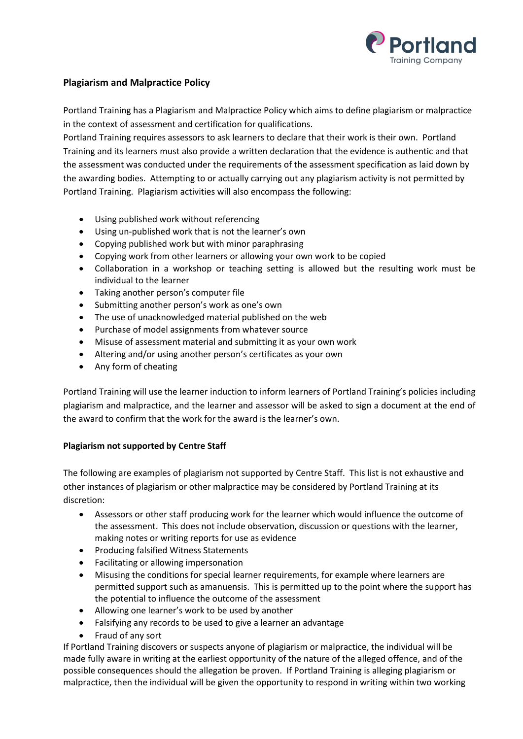

## **Plagiarism and Malpractice Policy**

Portland Training has a Plagiarism and Malpractice Policy which aims to define plagiarism or malpractice in the context of assessment and certification for qualifications.

Portland Training requires assessors to ask learners to declare that their work is their own. Portland Training and its learners must also provide a written declaration that the evidence is authentic and that the assessment was conducted under the requirements of the assessment specification as laid down by the awarding bodies. Attempting to or actually carrying out any plagiarism activity is not permitted by Portland Training. Plagiarism activities will also encompass the following:

- Using published work without referencing
- Using un-published work that is not the learner's own
- Copying published work but with minor paraphrasing
- Copying work from other learners or allowing your own work to be copied
- Collaboration in a workshop or teaching setting is allowed but the resulting work must be individual to the learner
- Taking another person's computer file
- Submitting another person's work as one's own
- The use of unacknowledged material published on the web
- Purchase of model assignments from whatever source
- Misuse of assessment material and submitting it as your own work
- Altering and/or using another person's certificates as your own
- Any form of cheating

Portland Training will use the learner induction to inform learners of Portland Training's policies including plagiarism and malpractice, and the learner and assessor will be asked to sign a document at the end of the award to confirm that the work for the award is the learner's own.

## **Plagiarism not supported by Centre Staff**

The following are examples of plagiarism not supported by Centre Staff. This list is not exhaustive and other instances of plagiarism or other malpractice may be considered by Portland Training at its discretion:

- Assessors or other staff producing work for the learner which would influence the outcome of the assessment. This does not include observation, discussion or questions with the learner, making notes or writing reports for use as evidence
- **•** Producing falsified Witness Statements
- Facilitating or allowing impersonation
- Misusing the conditions for special learner requirements, for example where learners are permitted support such as amanuensis. This is permitted up to the point where the support has the potential to influence the outcome of the assessment
- Allowing one learner's work to be used by another
- Falsifying any records to be used to give a learner an advantage
- Fraud of any sort

If Portland Training discovers or suspects anyone of plagiarism or malpractice, the individual will be made fully aware in writing at the earliest opportunity of the nature of the alleged offence, and of the possible consequences should the allegation be proven. If Portland Training is alleging plagiarism or malpractice, then the individual will be given the opportunity to respond in writing within two working